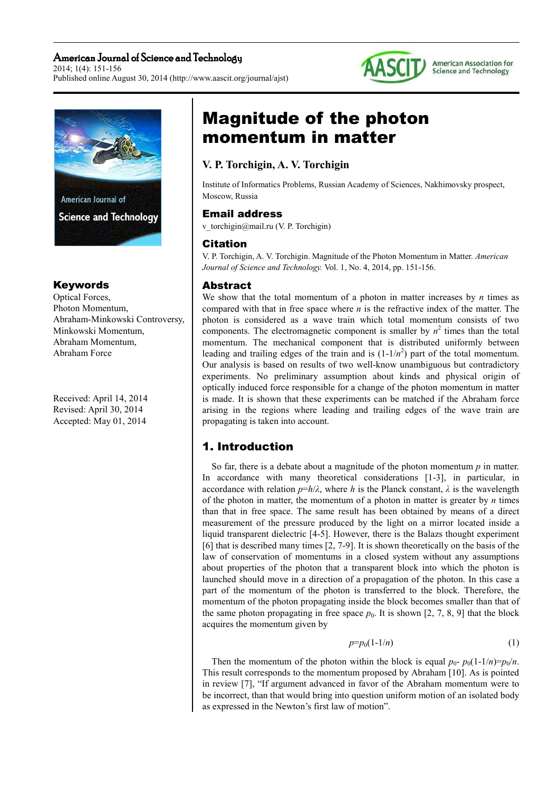### American Journal of Science and Technology 2014; 1(4): 151-156 Published online August 30, 2014 (http://www.aascit.org/journal/ajst)





### Keywords

Optical Forces, Photon Momentum, Abraham-Minkowski Controversy, Minkowski Momentum, Abraham Momentum, Abraham Force

Received: April 14, 2014 Revised: April 30, 2014 Accepted: May 01, 2014

# Magnitude of the photon momentum in matter

### **V. P. Torchigin, A. V. Torchigin**

Institute of Informatics Problems, Russian Academy of Sciences, Nakhimovsky prospect, Moscow, Russia

#### Email address

v\_torchigin@mail.ru (V. P. Torchigin)

#### Citation

V. P. Torchigin, A. V. Torchigin. Magnitude of the Photon Momentum in Matter. *American Journal of Science and Technology.* Vol. 1, No. 4, 2014, pp. 151-156.

### **Abstract**

We show that the total momentum of a photon in matter increases by *n* times as compared with that in free space where *n* is the refractive index of the matter. The photon is considered as a wave train which total momentum consists of two components. The electromagnetic component is smaller by  $n^2$  times than the total momentum. The mechanical component that is distributed uniformly between leading and trailing edges of the train and is  $(1-1/n^2)$  part of the total momentum. Our analysis is based on results of two well-know unambiguous but contradictory experiments. No preliminary assumption about kinds and physical origin of optically induced force responsible for a change of the photon momentum in matter is made. It is shown that these experiments can be matched if the Abraham force arising in the regions where leading and trailing edges of the wave train are propagating is taken into account.

## 1. Introduction

So far, there is a debate about a magnitude of the photon momentum *p* in matter. In accordance with many theoretical considerations [1-3], in particular, in accordance with relation  $p=h/\lambda$ , where *h* is the Planck constant,  $\lambda$  is the wavelength of the photon in matter, the momentum of a photon in matter is greater by *n* times than that in free space. The same result has been obtained by means of a direct measurement of the pressure produced by the light on a mirror located inside a liquid transparent dielectric [4-5]. However, there is the Balazs thought experiment [6] that is described many times [2, 7-9]. It is shown theoretically on the basis of the law of conservation of momentums in a closed system without any assumptions about properties of the photon that a transparent block into which the photon is launched should move in a direction of a propagation of the photon. In this case a part of the momentum of the photon is transferred to the block. Therefore, the momentum of the photon propagating inside the block becomes smaller than that of the same photon propagating in free space  $p_0$ . It is shown [2, 7, 8, 9] that the block acquires the momentum given by

$$
p=p_0(1-1/n) \tag{1}
$$

Then the momentum of the photon within the block is equal  $p_0 - p_0(1-1/n) = p_0/n$ . This result corresponds to the momentum proposed by Abraham [10]. As is pointed in review [7], "If argument advanced in favor of the Abraham momentum were to be incorrect, than that would bring into question uniform motion of an isolated body as expressed in the Newton's first law of motion".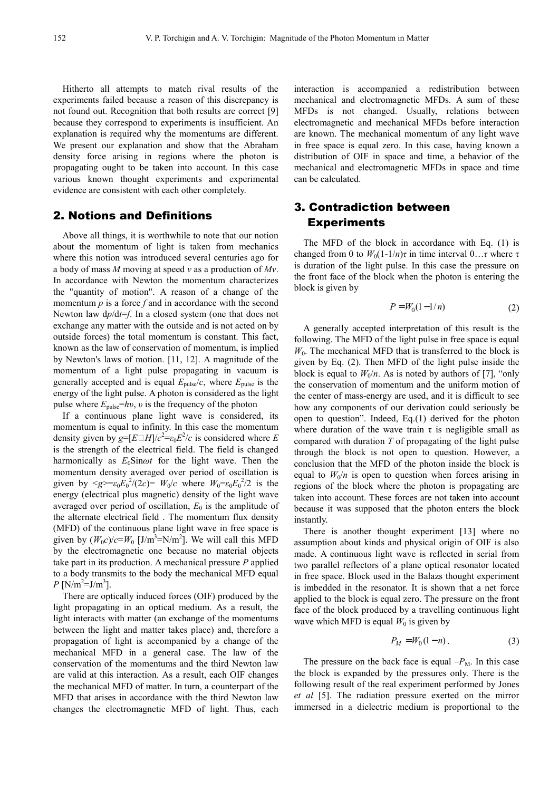Hitherto all attempts to match rival results of the experiments failed because a reason of this discrepancy is not found out. Recognition that both results are correct [9] because they correspond to experiments is insufficient. An explanation is required why the momentums are different. We present our explanation and show that the Abraham density force arising in regions where the photon is propagating ought to be taken into account. In this case various known thought experiments and experimental evidence are consistent with each other completely.

#### 2. Notions and Definitions

Above all things, it is worthwhile to note that our notion about the momentum of light is taken from mechanics where this notion was introduced several centuries ago for a body of mass *M* moving at speed *v* as a production of *Mv*. In accordance with Newton the momentum characterizes the "quantity of motion". A reason of a change of the momentum  $p$  is a force  $f$  and in accordance with the second Newton law d*p*/d*t*=*f*. In a closed system (one that does not exchange any matter with the outside and is not acted on by outside forces) the total momentum is constant. This fact, known as the law of conservation of momentum, is implied by Newton's laws of motion. [11, 12]. A magnitude of the momentum of a light pulse propagating in vacuum is generally accepted and is equal  $E_{\text{pulse}}/c$ , where  $E_{\text{pulse}}$  is the energy of the light pulse. A photon is considered as the light pulse where  $E_{\text{pulse}}=h\nu$ ,  $\nu$  is the frequency of the photon

If a continuous plane light wave is considered, its momentum is equal to infinity. In this case the momentum density given by  $g = [E \Box H]/c^2 = \varepsilon_0 E^2/c$  is considered where *E* is the strength of the electrical field. The field is changed harmonically as  $E_0$ Sin $\omega t$  for the light wave. Then the momentum density averaged over period of oscillation is given by  $\langle g \rangle = \varepsilon_0 E_0^2 / (2c) = W_0/c$  where  $W_0 = \varepsilon_0 E_0^2 / 2$  is the energy (electrical plus magnetic) density of the light wave averaged over period of oscillation,  $E_0$  is the amplitude of the alternate electrical field . The momentum flux density (MFD) of the continuous plane light wave in free space is given by  $(W_0 c)/c=W_0$  [J/m<sup>3</sup>=N/m<sup>2</sup>]. We will call this MFD by the electromagnetic one because no material objects take part in its production. A mechanical pressure *P* applied to a body transmits to the body the mechanical MFD equal  $P$  [N/m<sup>2</sup>=J/m<sup>3</sup>].

There are optically induced forces (OIF) produced by the light propagating in an optical medium. As a result, the light interacts with matter (an exchange of the momentums between the light and matter takes place) and, therefore a propagation of light is accompanied by a change of the mechanical MFD in a general case. The law of the conservation of the momentums and the third Newton law are valid at this interaction. As a result, each OIF changes the mechanical MFD of matter. In turn, a counterpart of the MFD that arises in accordance with the third Newton law changes the electromagnetic MFD of light. Thus, each

interaction is accompanied a redistribution between mechanical and electromagnetic MFDs. A sum of these MFDs is not changed. Usually, relations between electromagnetic and mechanical MFDs before interaction are known. The mechanical momentum of any light wave in free space is equal zero. In this case, having known a distribution of OIF in space and time, a behavior of the mechanical and electromagnetic MFDs in space and time can be calculated.

### 3. Contradiction between **Experiments**

The MFD of the block in accordance with Eq. (1) is changed from 0 to  $W_0(1-1/n)\tau$  in time interval  $0 \dots \tau$  where  $\tau$ is duration of the light pulse. In this case the pressure on the front face of the block when the photon is entering the block is given by

$$
P = W_0(1 - 1/n) \tag{2}
$$

A generally accepted interpretation of this result is the following. The MFD of the light pulse in free space is equal  $W<sub>0</sub>$ . The mechanical MFD that is transferred to the block is given by Eq. (2). Then MFD of the light pulse inside the block is equal to  $W_0/n$ . As is noted by authors of [7], "only the conservation of momentum and the uniform motion of the center of mass-energy are used, and it is difficult to see how any components of our derivation could seriously be open to question". Indeed, Eq.(1) derived for the photon where duration of the wave train  $\tau$  is negligible small as compared with duration *T* of propagating of the light pulse through the block is not open to question. However, a conclusion that the MFD of the photon inside the block is equal to  $W_0/n$  is open to question when forces arising in regions of the block where the photon is propagating are taken into account. These forces are not taken into account because it was supposed that the photon enters the block instantly.

There is another thought experiment [13] where no assumption about kinds and physical origin of OIF is also made. A continuous light wave is reflected in serial from two parallel reflectors of a plane optical resonator located in free space. Block used in the Balazs thought experiment is imbedded in the resonator. It is shown that a net force applied to the block is equal zero. The pressure on the front face of the block produced by a travelling continuous light wave which MFD is equal  $W_0$  is given by

$$
P_M = W_0(1 - n) \tag{3}
$$

The pressure on the back face is equal  $-P_M$ . In this case the block is expanded by the pressures only. There is the following result of the real experiment performed by Jones *et al* [5]. The radiation pressure exerted on the mirror immersed in a dielectric medium is proportional to the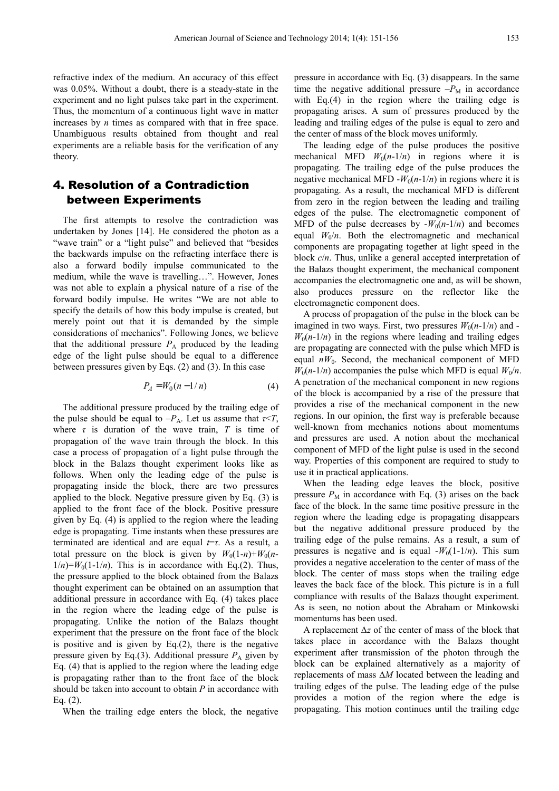refractive index of the medium. An accuracy of this effect was 0.05%. Without a doubt, there is a steady-state in the experiment and no light pulses take part in the experiment. Thus, the momentum of a continuous light wave in matter increases by *n* times as compared with that in free space. Unambiguous results obtained from thought and real experiments are a reliable basis for the verification of any theory.

### 4. Resolution of a Contradiction between Experiments

The first attempts to resolve the contradiction was undertaken by Jones [14]. He considered the photon as a "wave train" or a "light pulse" and believed that "besides the backwards impulse on the refracting interface there is also a forward bodily impulse communicated to the medium, while the wave is travelling…". However, Jones was not able to explain a physical nature of a rise of the forward bodily impulse. He writes "We are not able to specify the details of how this body impulse is created, but merely point out that it is demanded by the simple considerations of mechanics". Following Jones, we believe that the additional pressure  $P_A$  produced by the leading edge of the light pulse should be equal to a difference between pressures given by Eqs. (2) and (3). In this case

$$
P_A = W_0(n - 1/n) \tag{4}
$$

The additional pressure produced by the trailing edge of the pulse should be equal to  $-P_A$ . Let us assume that  $\tau < T$ , where  $\tau$  is duration of the wave train,  $T$  is time of propagation of the wave train through the block. In this case a process of propagation of a light pulse through the block in the Balazs thought experiment looks like as follows. When only the leading edge of the pulse is propagating inside the block, there are two pressures applied to the block. Negative pressure given by Eq. (3) is applied to the front face of the block. Positive pressure given by Eq. (4) is applied to the region where the leading edge is propagating. Time instants when these pressures are terminated are identical and are equal *t*=*τ*. As a result, a total pressure on the block is given by  $W_0(1-n)+W_0(n-1)$  $1/n$ =*W*<sub>0</sub>(1-1/*n*). This is in accordance with Eq.(2). Thus, the pressure applied to the block obtained from the Balazs thought experiment can be obtained on an assumption that additional pressure in accordance with Eq. (4) takes place in the region where the leading edge of the pulse is propagating. Unlike the notion of the Balazs thought experiment that the pressure on the front face of the block is positive and is given by  $Eq.(2)$ , there is the negative pressure given by Eq.(3). Additional pressure  $P_A$  given by Eq. (4) that is applied to the region where the leading edge is propagating rather than to the front face of the block should be taken into account to obtain *P* in accordance with Eq. (2).

When the trailing edge enters the block, the negative

pressure in accordance with Eq. (3) disappears. In the same time the negative additional pressure  $-P_M$  in accordance with Eq.(4) in the region where the trailing edge is propagating arises. A sum of pressures produced by the leading and trailing edges of the pulse is equal to zero and the center of mass of the block moves uniformly.

The leading edge of the pulse produces the positive mechanical MFD  $W_0(n-1/n)$  in regions where it is propagating. The trailing edge of the pulse produces the negative mechanical MFD  $-W_0(n-1/n)$  in regions where it is propagating. As a result, the mechanical MFD is different from zero in the region between the leading and trailing edges of the pulse. The electromagnetic component of MFD of the pulse decreases by  $-W_0(n-1/n)$  and becomes equal  $W_0/n$ . Both the electromagnetic and mechanical components are propagating together at light speed in the block *c*/*n*. Thus, unlike a general accepted interpretation of the Balazs thought experiment, the mechanical component accompanies the electromagnetic one and, as will be shown, also produces pressure on the reflector like the electromagnetic component does.

A process of propagation of the pulse in the block can be imagined in two ways. First, two pressures  $W_0(n-1/n)$  and - $W_0(n-1/n)$  in the regions where leading and trailing edges are propagating are connected with the pulse which MFD is equal  $nW_0$ . Second, the mechanical component of MFD  $W_0(n-1/n)$  accompanies the pulse which MFD is equal  $W_0/n$ . A penetration of the mechanical component in new regions of the block is accompanied by a rise of the pressure that provides a rise of the mechanical component in the new regions. In our opinion, the first way is preferable because well-known from mechanics notions about momentums and pressures are used. A notion about the mechanical component of MFD of the light pulse is used in the second way. Properties of this component are required to study to use it in practical applications.

When the leading edge leaves the block, positive pressure  $P_M$  in accordance with Eq. (3) arises on the back face of the block. In the same time positive pressure in the region where the leading edge is propagating disappears but the negative additional pressure produced by the trailing edge of the pulse remains. As a result, a sum of pressures is negative and is equal  $-W_0(1-1/n)$ . This sum provides a negative acceleration to the center of mass of the block. The center of mass stops when the trailing edge leaves the back face of the block. This picture is in a full compliance with results of the Balazs thought experiment. As is seen, no notion about the Abraham or Minkowski momentums has been used.

A replacement ∆*z* of the center of mass of the block that takes place in accordance with the Balazs thought experiment after transmission of the photon through the block can be explained alternatively as a majority of replacements of mass ∆*M* located between the leading and trailing edges of the pulse. The leading edge of the pulse provides a motion of the region where the edge is propagating. This motion continues until the trailing edge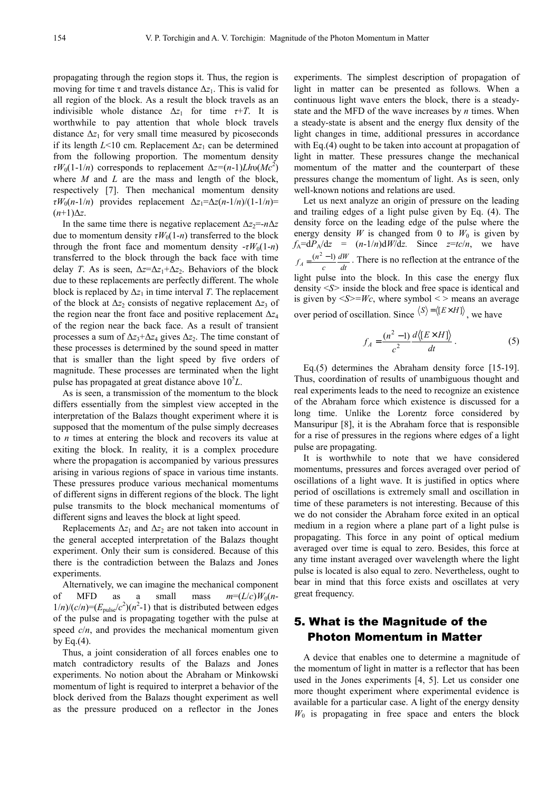propagating through the region stops it. Thus, the region is moving for time  $\tau$  and travels distance  $\Delta z_1$ . This is valid for all region of the block. As a result the block travels as an indivisible whole distance  $\Delta z_1$  for time  $\tau$ +*T*. It is worthwhile to pay attention that whole block travels distance  $\Delta z_1$  for very small time measured by picoseconds if its length  $L$ <10 cm. Replacement  $\Delta z_1$  can be determined from the following proportion. The momentum density *τW*<sub>0</sub>(1-1/*n*) corresponds to replacement  $\Delta z = (n-1)Lh\nu(Mc^2)$ where *M* and *L* are the mass and length of the block, respectively [7]. Then mechanical momentum density *τW*<sub>0</sub>(*n*-1/*n*) provides replacement  $\Delta z_1 = \Delta z(n-1/n)/(1-1/n)$ =  $(n+1)\Delta z$ .

In the same time there is negative replacement  $\Delta z_2 = n\Delta z$ due to momentum density  $\tau W_0(1-n)$  transferred to the block through the front face and momentum density  $-\tau W_0(1-n)$ transferred to the block through the back face with time delay *T*. As is seen,  $\Delta z = \Delta z_1 + \Delta z_2$ . Behaviors of the block due to these replacements are perfectly different. The whole block is replaced by  $\Delta z_1$  in time interval *T*. The replacement of the block at ∆*z*<sub>2</sub> consists of negative replacement ∆*z*<sub>3</sub> of the region near the front face and positive replacement ∆*z*<sup>4</sup> of the region near the back face. As a result of transient processes a sum of  $\Delta z_3 + \Delta z_4$  gives  $\Delta z_2$ . The time constant of these processes is determined by the sound speed in matter that is smaller than the light speed by five orders of magnitude. These processes are terminated when the light pulse has propagated at great distance above  $10<sup>5</sup>L$ .

As is seen, a transmission of the momentum to the block differs essentially from the simplest view accepted in the interpretation of the Balazs thought experiment where it is supposed that the momentum of the pulse simply decreases to *n* times at entering the block and recovers its value at exiting the block. In reality, it is a complex procedure where the propagation is accompanied by various pressures arising in various regions of space in various time instants. These pressures produce various mechanical momentums of different signs in different regions of the block. The light pulse transmits to the block mechanical momentums of different signs and leaves the block at light speed.

Replacements  $\Delta z_1$  and  $\Delta z_2$  are not taken into account in the general accepted interpretation of the Balazs thought experiment. Only their sum is considered. Because of this there is the contradiction between the Balazs and Jones experiments.

Alternatively, we can imagine the mechanical component of MFD as a small mass  $m=(L/c)W_0(n 1/n)/(c/n) = (E_{\text{pulse}}/c^2)(n^2-1)$  that is distributed between edges of the pulse and is propagating together with the pulse at speed  $c/n$ , and provides the mechanical momentum given by Eq. $(4)$ .

Thus, a joint consideration of all forces enables one to match contradictory results of the Balazs and Jones experiments. No notion about the Abraham or Minkowski momentum of light is required to interpret a behavior of the block derived from the Balazs thought experiment as well as the pressure produced on a reflector in the Jones experiments. The simplest description of propagation of light in matter can be presented as follows. When a continuous light wave enters the block, there is a steadystate and the MFD of the wave increases by *n* times. When a steady-state is absent and the energy flux density of the light changes in time, additional pressures in accordance with Eq. (4) ought to be taken into account at propagation of light in matter. These pressures change the mechanical momentum of the matter and the counterpart of these pressures change the momentum of light. As is seen, only well-known notions and relations are used.

Let us next analyze an origin of pressure on the leading and trailing edges of a light pulse given by Eq. (4). The density force on the leading edge of the pulse where the energy density *W* is changed from 0 to  $W_0$  is given by  $f_A = dP_A/dz = (n-1/n)dW/dz$ . Since  $z = tc/n$ , we have *dt dW c*  $f_A = \frac{(n^2 - 1) dW}{l}$ . There is no reflection at the entrance of the light pulse into the block. In this case the energy flux density <*S>* inside the block and free space is identical and is given by  $\leq S \geq W_c$ , where symbol  $\leq$  means an average over period of oscillation. Since  $\langle S \rangle = \langle [E \times H] \rangle$ , we have

$$
f_A = \frac{(n^2 - 1)}{c^2} \frac{d\langle [E \times H] \rangle}{dt} \,. \tag{5}
$$

Eq.(5) determines the Abraham density force [15-19]. Thus, coordination of results of unambiguous thought and real experiments leads to the need to recognize an existence of the Abraham force which existence is discussed for a long time. Unlike the Lorentz force considered by Mansuripur [8], it is the Abraham force that is responsible for a rise of pressures in the regions where edges of a light pulse are propagating.

It is worthwhile to note that we have considered momentums, pressures and forces averaged over period of oscillations of a light wave. It is justified in optics where period of oscillations is extremely small and oscillation in time of these parameters is not interesting. Because of this we do not consider the Abraham force exited in an optical medium in a region where a plane part of a light pulse is propagating. This force in any point of optical medium averaged over time is equal to zero. Besides, this force at any time instant averaged over wavelength where the light pulse is located is also equal to zero. Nevertheless, ought to bear in mind that this force exists and oscillates at very great frequency.

### 5. What is the Magnitude of the Photon Momentum in Matter

A device that enables one to determine a magnitude of the momentum of light in matter is a reflector that has been used in the Jones experiments [4, 5]. Let us consider one more thought experiment where experimental evidence is available for a particular case. A light of the energy density  $W_0$  is propagating in free space and enters the block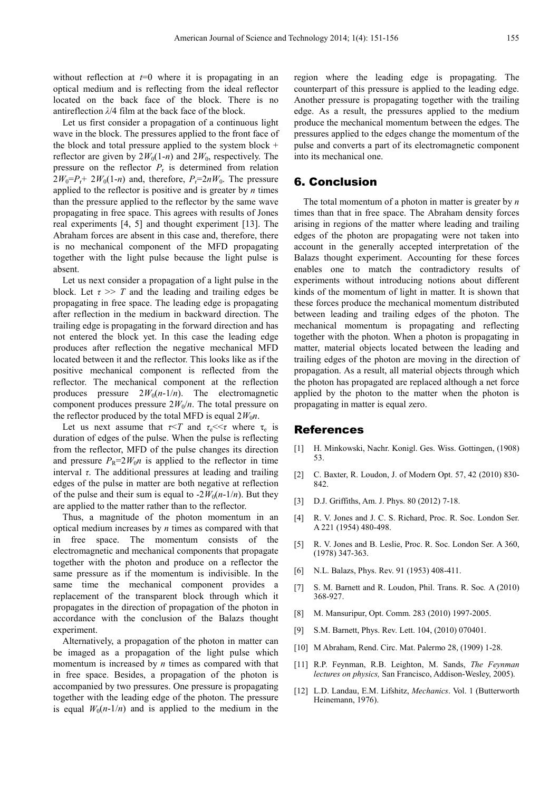without reflection at  $t=0$  where it is propagating in an optical medium and is reflecting from the ideal reflector located on the back face of the block. There is no antireflection *λ*/4 film at the back face of the block.

Let us first consider a propagation of a continuous light wave in the block. The pressures applied to the front face of the block and total pressure applied to the system block + reflector are given by  $2W_0(1-n)$  and  $2W_0$ , respectively. The pressure on the reflector  $P_r$  is determined from relation  $2W_0 = P_r + 2W_0(1-n)$  and, therefore,  $P_r = 2nW_0$ . The pressure applied to the reflector is positive and is greater by *n* times than the pressure applied to the reflector by the same wave propagating in free space. This agrees with results of Jones real experiments [4, 5] and thought experiment [13]. The Abraham forces are absent in this case and, therefore, there is no mechanical component of the MFD propagating together with the light pulse because the light pulse is absent.

Let us next consider a propagation of a light pulse in the block. Let  $\tau \gg T$  and the leading and trailing edges be propagating in free space. The leading edge is propagating after reflection in the medium in backward direction. The trailing edge is propagating in the forward direction and has not entered the block yet. In this case the leading edge produces after reflection the negative mechanical MFD located between it and the reflector. This looks like as if the positive mechanical component is reflected from the reflector. The mechanical component at the reflection produces pressure  $2W_0(n-1/n)$ . The electromagnetic component produces pressure  $2W_0/n$ . The total pressure on the reflector produced by the total MFD is equal  $2W_0n$ .

Let us next assume that  $\tau < T$  and  $\tau_e < \tau$  where  $\tau_e$  is duration of edges of the pulse. When the pulse is reflecting from the reflector, MFD of the pulse changes its direction and pressure  $P_R$ =2 $W_0$ *n* is applied to the reflector in time interval  $\tau$ . The additional pressures at leading and trailing edges of the pulse in matter are both negative at reflection of the pulse and their sum is equal to  $-2W_0(n-1/n)$ . But they are applied to the matter rather than to the reflector.

Thus, a magnitude of the photon momentum in an optical medium increases by *n* times as compared with that in free space. The momentum consists of the electromagnetic and mechanical components that propagate together with the photon and produce on a reflector the same pressure as if the momentum is indivisible. In the same time the mechanical component provides a replacement of the transparent block through which it propagates in the direction of propagation of the photon in accordance with the conclusion of the Balazs thought experiment.

Alternatively, a propagation of the photon in matter can be imaged as a propagation of the light pulse which momentum is increased by *n* times as compared with that in free space. Besides, a propagation of the photon is accompanied by two pressures. One pressure is propagating together with the leading edge of the photon. The pressure is equal  $W_0(n-1/n)$  and is applied to the medium in the

region where the leading edge is propagating. The counterpart of this pressure is applied to the leading edge. Another pressure is propagating together with the trailing edge. As a result, the pressures applied to the medium produce the mechanical momentum between the edges. The pressures applied to the edges change the momentum of the pulse and converts a part of its electromagnetic component into its mechanical one.

### 6. Conclusion

The total momentum of a photon in matter is greater by *n* times than that in free space. The Abraham density forces arising in regions of the matter where leading and trailing edges of the photon are propagating were not taken into account in the generally accepted interpretation of the Balazs thought experiment. Accounting for these forces enables one to match the contradictory results of experiments without introducing notions about different kinds of the momentum of light in matter. It is shown that these forces produce the mechanical momentum distributed between leading and trailing edges of the photon. The mechanical momentum is propagating and reflecting together with the photon. When a photon is propagating in matter, material objects located between the leading and trailing edges of the photon are moving in the direction of propagation. As a result, all material objects through which the photon has propagated are replaced although a net force applied by the photon to the matter when the photon is propagating in matter is equal zero.

#### References

- [1] Н. Minkowski, Nachr. Konigl. Ges. Wiss. Gottingen, (1908) 53.
- [2] C. Baxter, R. Loudon, J. of Modern Opt. 57, 42 (2010) 830- 842.
- [3] D.J. Griffiths, Am. J. Phys. 80 (2012) 7-18.
- [4] R. V. Jones and J. C. S. Richard, Proc. R. Soc. London Ser. A 221 (1954) 480-498.
- [5] R. V. Jones and B. Leslie, Proc. R. Soc. London Ser. A 360, (1978) 347-363.
- [6] N.L. Balazs, Phys. Rev. 91 (1953) 408-411.
- [7] S. M. Barnett and R. Loudon, Phil. Trans. R. Soc*.* A (2010) 368-927.
- [8] M. Mansuripur, Opt. Comm. 283 (2010) 1997-2005.
- [9] S.M. Barnett, Phys. Rev. Lett. 104, (2010) 070401.
- [10] M Abraham, Rend. Circ. Mat. Palermo 28, (1909) 1-28.
- [11] R.P. Feynman, R.B. Leighton, M. Sands, *The Feynman lectures on physics,* San Francisco, Addison-Wesley, 2005).
- [12] L.D. Landau, E.M. Lifshitz, *Mechanics*. Vol. 1 (Butterworth Heinemann, 1976).